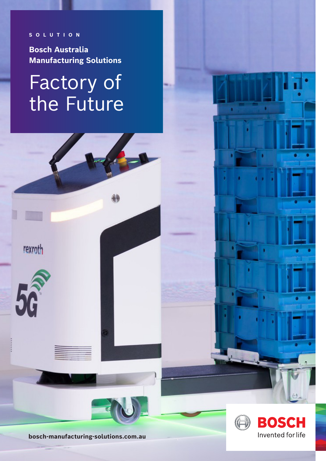**SOLUTION**

**Bosch Australia Manufacturing Solutions**

## Factory of the Future



**bosch-manufacturing-solutions.com.au**

B